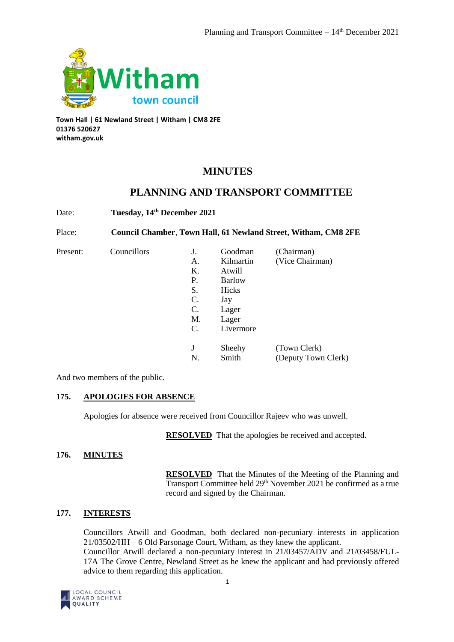

**Town Hall | 61 Newland Street | Witham | CM8 2FE 01376 520627 witham.gov.uk**

# **MINUTES**

# **PLANNING AND TRANSPORT COMMITTEE**

Date: **Tuesday, 14th December 2021**

Place: **Council Chamber**, **Town Hall, 61 Newland Street, Witham, CM8 2FE**

Present: Councillors

|    | Goodman       | (Chairman)          |
|----|---------------|---------------------|
| А. | Kilmartin     | (Vice Chairman)     |
| Κ. | Atwill        |                     |
| Ρ. | <b>Barlow</b> |                     |
| S. | Hicks         |                     |
| C. | Jay           |                     |
| C. | Lager         |                     |
| M. | Lager         |                     |
| C. | Livermore     |                     |
| J  | Sheehy        | (Town Clerk)        |
|    |               |                     |
| N. | Smith         | (Deputy Town Clerk) |

And two members of the public.

# **175. APOLOGIES FOR ABSENCE**

Apologies for absence were received from Councillor Rajeev who was unwell.

**RESOLVED** That the apologies be received and accepted.

## **176. MINUTES**

**RESOLVED** That the Minutes of the Meeting of the Planning and Transport Committee held 29<sup>th</sup> November 2021 be confirmed as a true record and signed by the Chairman.

# **177. INTERESTS**

Councillors Atwill and Goodman, both declared non-pecuniary interests in application 21/03502/HH – 6 Old Parsonage Court, Witham, as they knew the applicant. Councillor Atwill declared a non-pecuniary interest in 21/03457/ADV and 21/03458/FUL-17A The Grove Centre, Newland Street as he knew the applicant and had previously offered advice to them regarding this application.

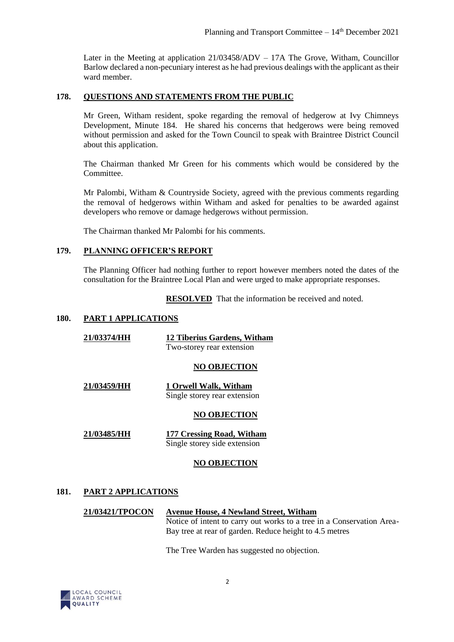Later in the Meeting at application 21/03458/ADV – 17A The Grove, Witham, Councillor Barlow declared a non-pecuniary interest as he had previous dealings with the applicant as their ward member.

### **178. QUESTIONS AND STATEMENTS FROM THE PUBLIC**

Mr Green, Witham resident, spoke regarding the removal of hedgerow at Ivy Chimneys Development, Minute 184. He shared his concerns that hedgerows were being removed without permission and asked for the Town Council to speak with Braintree District Council about this application.

The Chairman thanked Mr Green for his comments which would be considered by the Committee.

Mr Palombi, Witham & Countryside Society, agreed with the previous comments regarding the removal of hedgerows within Witham and asked for penalties to be awarded against developers who remove or damage hedgerows without permission.

The Chairman thanked Mr Palombi for his comments.

#### **179. PLANNING OFFICER'S REPORT**

The Planning Officer had nothing further to report however members noted the dates of the consultation for the Braintree Local Plan and were urged to make appropriate responses.

**RESOLVED** That the information be received and noted.

#### **180. PART 1 APPLICATIONS**

| 21/03374/HH | 12 Tiberius Gardens, Witham<br>Two-storey rear extension  |  |
|-------------|-----------------------------------------------------------|--|
|             | <b>NO OBJECTION</b>                                       |  |
| 21/03459/HH | 1 Orwell Walk, Witham<br>Single storey rear extension     |  |
|             | <b>NO OBJECTION</b>                                       |  |
| 21/03485/HH | 177 Cressing Road, Witham<br>Single storey side extension |  |

#### **NO OBJECTION**

### **181. PART 2 APPLICATIONS**

### **21/03421/TPOCON Avenue House, 4 Newland Street, Witham**

Notice of intent to carry out works to a tree in a Conservation Area-Bay tree at rear of garden. Reduce height to 4.5 metres

The Tree Warden has suggested no objection.

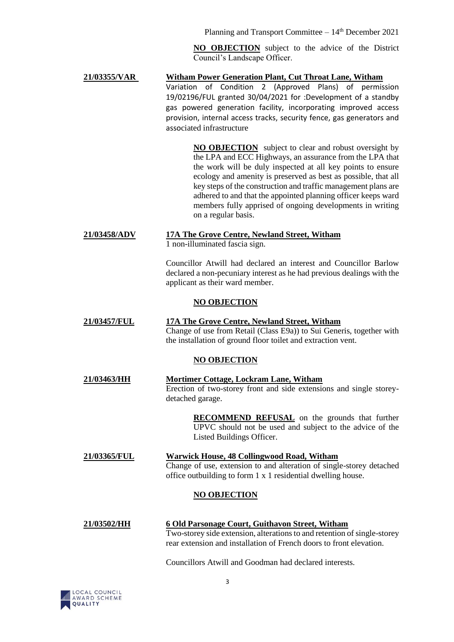Planning and Transport Committee  $-14<sup>th</sup>$  December 2021

**NO OBJECTION** subject to the advice of the District Council's Landscape Officer.

## **21/03355/VAR Witham Power Generation Plant, Cut Throat Lane, Witham** Variation of Condition 2 (Approved Plans) of permission 19/02196/FUL granted 30/04/2021 for :Development of a standby gas powered generation facility, incorporating improved access provision, internal access tracks, security fence, gas generators and associated infrastructure

**NO OBJECTION** subject to clear and robust oversight by the LPA and ECC Highways, an assurance from the LPA that the work will be duly inspected at all key points to ensure ecology and amenity is preserved as best as possible, that all key steps of the construction and traffic management plans are adhered to and that the appointed planning officer keeps ward members fully apprised of ongoing developments in writing on a regular basis.

# **21/03458/ADV 17A The Grove Centre, Newland Street, Witham**

1 non-illuminated fascia sign.

Councillor Atwill had declared an interest and Councillor Barlow declared a non-pecuniary interest as he had previous dealings with the applicant as their ward member.

# **NO OBJECTION**

**21/03457/FUL 17A The Grove Centre, Newland Street, Witham** Change of use from Retail (Class E9a)) to Sui Generis, together with the installation of ground floor toilet and extraction vent.

# **NO OBJECTION**

**21/03463/HH Mortimer Cottage, Lockram Lane, Witham** Erection of two-storey front and side extensions and single storeydetached garage.

> **RECOMMEND REFUSAL** on the grounds that further UPVC should not be used and subject to the advice of the Listed Buildings Officer.

## **21/03365/FUL Warwick House, 48 Collingwood Road, Witham** Change of use, extension to and alteration of single-storey detached office outbuilding to form 1 x 1 residential dwelling house.

# **NO OBJECTION**

# **21/03502/HH 6 Old Parsonage Court, Guithavon Street, Witham**

Two-storey side extension, alterations to and retention of single-storey rear extension and installation of French doors to front elevation.

Councillors Atwill and Goodman had declared interests.

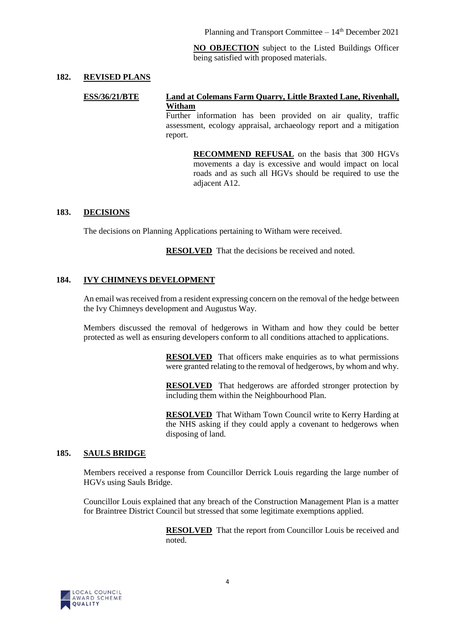Planning and Transport Committee  $-14<sup>th</sup>$  December 2021

**NO OBJECTION** subject to the Listed Buildings Officer being satisfied with proposed materials.

#### **182. REVISED PLANS**

#### **ESS/36/21/BTE Land at Colemans Farm Quarry, Little Braxted Lane, Rivenhall, Witham**

Further information has been provided on air quality, traffic assessment, ecology appraisal, archaeology report and a mitigation report.

> **RECOMMEND REFUSAL** on the basis that 300 HGVs movements a day is excessive and would impact on local roads and as such all HGVs should be required to use the adjacent A12.

#### **183. DECISIONS**

The decisions on Planning Applications pertaining to Witham were received.

**RESOLVED** That the decisions be received and noted.

## **184. IVY CHIMNEYS DEVELOPMENT**

An email was received from a resident expressing concern on the removal of the hedge between the Ivy Chimneys development and Augustus Way.

Members discussed the removal of hedgerows in Witham and how they could be better protected as well as ensuring developers conform to all conditions attached to applications.

> **RESOLVED** That officers make enquiries as to what permissions were granted relating to the removal of hedgerows, by whom and why.

> **RESOLVED** That hedgerows are afforded stronger protection by including them within the Neighbourhood Plan.

> **RESOLVED** That Witham Town Council write to Kerry Harding at the NHS asking if they could apply a covenant to hedgerows when disposing of land.

#### **185. SAULS BRIDGE**

Members received a response from Councillor Derrick Louis regarding the large number of HGVs using Sauls Bridge.

Councillor Louis explained that any breach of the Construction Management Plan is a matter for Braintree District Council but stressed that some legitimate exemptions applied.

> **RESOLVED** That the report from Councillor Louis be received and noted.